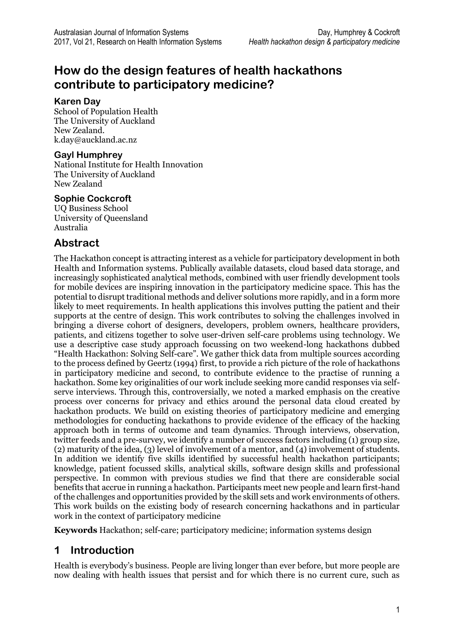# **How do the design features of health hackathons contribute to participatory medicine?**

#### **Karen Day**

School of Population Health The University of Auckland New Zealand. k.day@auckland.ac.nz

#### **Gayl Humphrey**

National Institute for Health Innovation The University of Auckland New Zealand

## **Sophie Cockcroft**

UQ Business School University of Queensland Australia

## **Abstract**

The Hackathon concept is attracting interest as a vehicle for participatory development in both Health and Information systems. Publically available datasets, cloud based data storage, and increasingly sophisticated analytical methods, combined with user friendly development tools for mobile devices are inspiring innovation in the participatory medicine space. This has the potential to disrupt traditional methods and deliver solutions more rapidly, and in a form more likely to meet requirements. In health applications this involves putting the patient and their supports at the centre of design. This work contributes to solving the challenges involved in bringing a diverse cohort of designers, developers, problem owners, healthcare providers, patients, and citizens together to solve user-driven self-care problems using technology. We use a descriptive case study approach focussing on two weekend-long hackathons dubbed "Health Hackathon: Solving Self-care". We gather thick data from multiple sources according to the process defined by Geertz (1994) first, to provide a rich picture of the role of hackathons in participatory medicine and second, to contribute evidence to the practise of running a hackathon. Some key originalities of our work include seeking more candid responses via selfserve interviews. Through this, controversially, we noted a marked emphasis on the creative process over concerns for privacy and ethics around the personal data cloud created by hackathon products. We build on existing theories of participatory medicine and emerging methodologies for conducting hackathons to provide evidence of the efficacy of the hacking approach both in terms of outcome and team dynamics. Through interviews, observation, twitter feeds and a pre-survey, we identify a number of success factors including (1) group size, (2) maturity of the idea, (3) level of involvement of a mentor, and (4) involvement of students. In addition we identify five skills identified by successful health hackathon participants; knowledge, patient focussed skills, analytical skills, software design skills and professional perspective. In common with previous studies we find that there are considerable social benefits that accrue in running a hackathon. Participants meet new people and learn first-hand of the challenges and opportunities provided by the skill sets and work environments of others. This work builds on the existing body of research concerning hackathons and in particular work in the context of participatory medicine

**Keywords** Hackathon; self-care; participatory medicine; information systems design

## **1 Introduction**

Health is everybody's business. People are living longer than ever before, but more people are now dealing with health issues that persist and for which there is no current cure, such as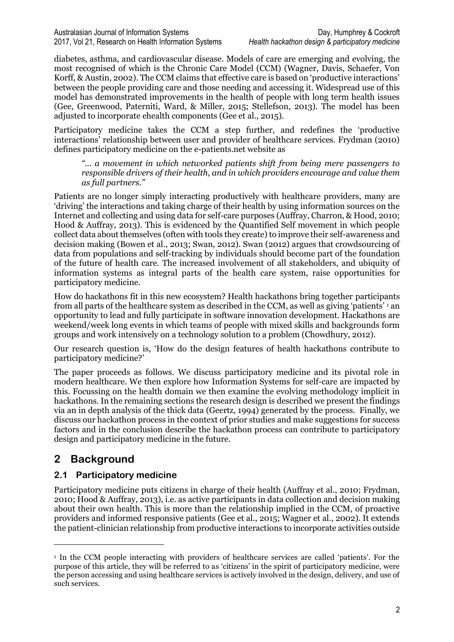diabetes, asthma, and cardiovascular disease. Models of care are emerging and evolving, the most recognised of which is the Chronic Care Model (CCM) (Wagner, Davis, Schaefer, Von Korff, & Austin, 2002). The CCM claims that effective care is based on 'productive interactions' between the people providing care and those needing and accessing it. Widespread use of this model has demonstrated improvements in the health of people with long term health issues (Gee, Greenwood, Paterniti, Ward, & Miller, 2015; Stellefson, 2013). The model has been adjusted to incorporate ehealth components (Gee et al., 2015).

Participatory medicine takes the CCM a step further, and redefines the 'productive interactions' relationship between user and provider of healthcare services. Frydman (2010) defines participatory medicine on the e-patients.net website as

*"… a movement in which networked patients shift from being mere passengers to responsible drivers of their health, and in which providers encourage and value them as full partners."*

Patients are no longer simply interacting productively with healthcare providers, many are 'driving' the interactions and taking charge of their health by using information sources on the Internet and collecting and using data for self-care purposes (Auffray, Charron, & Hood, 2010; Hood & Auffray, 2013). This is evidenced by the Quantified Self movement in which people collect data about themselves (often with tools they create) to improve their self-awareness and decision making (Bowen et al., 2013; Swan, 2012). Swan (2012) argues that crowdsourcing of data from populations and self-tracking by individuals should become part of the foundation of the future of health care. The increased involvement of all stakeholders, and ubiquity of information systems as integral parts of the health care system, raise opportunities for participatory medicine.

How do hackathons fit in this new ecosystem? Health hackathons bring together participants from all parts of the healthcare system as described in the CCM, as well as giving 'patients' <sup>1</sup> an opportunity to lead and fully participate in software innovation development. Hackathons are weekend/week long events in which teams of people with mixed skills and backgrounds form groups and work intensively on a technology solution to a problem (Chowdhury, 2012).

Our research question is, 'How do the design features of health hackathons contribute to participatory medicine?'

The paper proceeds as follows. We discuss participatory medicine and its pivotal role in modern healthcare. We then explore how Information Systems for self-care are impacted by this. Focussing on the health domain we then examine the evolving methodology implicit in hackathons. In the remaining sections the research design is described we present the findings via an in depth analysis of the thick data (Geertz, 1994) generated by the process. Finally, we discuss our hackathon process in the context of prior studies and make suggestions for success factors and in the conclusion describe the hackathon process can contribute to participatory design and participatory medicine in the future.

## **2 Background**

 $\overline{a}$ 

## **2.1 Participatory medicine**

Participatory medicine puts citizens in charge of their health (Auffray et al., 2010; Frydman, 2010; Hood & Auffray, 2013), i.e. as active participants in data collection and decision making about their own health. This is more than the relationship implied in the CCM, of proactive providers and informed responsive patients (Gee et al., 2015; Wagner et al., 2002). It extends the patient-clinician relationship from productive interactions to incorporate activities outside

<sup>1</sup> In the CCM people interacting with providers of healthcare services are called 'patients'. For the purpose of this article, they will be referred to as 'citizens' in the spirit of participatory medicine, were the person accessing and using healthcare services is actively involved in the design, delivery, and use of such services.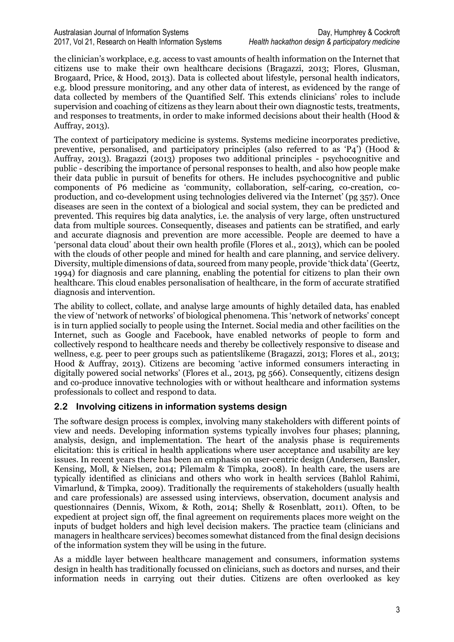the clinician's workplace, e.g. access to vast amounts of health information on the Internet that citizens use to make their own healthcare decisions (Bragazzi, 2013; Flores, Glusman, Brogaard, Price, & Hood, 2013). Data is collected about lifestyle, personal health indicators, e.g. blood pressure monitoring, and any other data of interest, as evidenced by the range of data collected by members of the Quantified Self. This extends clinicians' roles to include supervision and coaching of citizens as they learn about their own diagnostic tests, treatments, and responses to treatments, in order to make informed decisions about their health (Hood & Auffray, 2013).

The context of participatory medicine is systems. Systems medicine incorporates predictive, preventive, personalised, and participatory principles (also referred to as 'P4') (Hood  $\&$ Auffray, 2013). Bragazzi (2013) proposes two additional principles - psychocognitive and public - describing the importance of personal responses to health, and also how people make their data public in pursuit of benefits for others. He includes psychocognitive and public components of P6 medicine as 'community, collaboration, self-caring, co-creation, coproduction, and co-development using technologies delivered via the Internet' (pg 357). Once diseases are seen in the context of a biological and social system, they can be predicted and prevented. This requires big data analytics, i.e. the analysis of very large, often unstructured data from multiple sources. Consequently, diseases and patients can be stratified, and early and accurate diagnosis and prevention are more accessible. People are deemed to have a 'personal data cloud' about their own health profile (Flores et al., 2013), which can be pooled with the clouds of other people and mined for health and care planning, and service delivery. Diversity, multiple dimensions of data, sourced from many people, provide 'thick data' (Geertz, 1994) for diagnosis and care planning, enabling the potential for citizens to plan their own healthcare. This cloud enables personalisation of healthcare, in the form of accurate stratified diagnosis and intervention.

The ability to collect, collate, and analyse large amounts of highly detailed data, has enabled the view of 'network of networks' of biological phenomena. This 'network of networks' concept is in turn applied socially to people using the Internet. Social media and other facilities on the Internet, such as Google and Facebook, have enabled networks of people to form and collectively respond to healthcare needs and thereby be collectively responsive to disease and wellness, e.g. peer to peer groups such as patientslikeme (Bragazzi, 2013; Flores et al., 2013; Hood & Auffray, 2013). Citizens are becoming 'active informed consumers interacting in digitally powered social networks' (Flores et al., 2013, pg 566). Consequently, citizens design and co-produce innovative technologies with or without healthcare and information systems professionals to collect and respond to data.

## **2.2 Involving citizens in information systems design**

The software design process is complex, involving many stakeholders with different points of view and needs. Developing information systems typically involves four phases; planning, analysis, design, and implementation. The heart of the analysis phase is requirements elicitation: this is critical in health applications where user acceptance and usability are key issues. In recent years there has been an emphasis on user-centric design (Andersen, Bansler, Kensing, Moll, & Nielsen, 2014; Pilemalm & Timpka, 2008). In health care, the users are typically identified as clinicians and others who work in health services (Bahlol Rahimi, Vimarlund, & Timpka, 2009). Traditionally the requirements of stakeholders (usually health and care professionals) are assessed using interviews, observation, document analysis and questionnaires (Dennis, Wixom, & Roth, 2014; Shelly & Rosenblatt, 2011). Often, to be expedient at project sign off, the final agreement on requirements places more weight on the inputs of budget holders and high level decision makers. The practice team (clinicians and managers in healthcare services) becomes somewhat distanced from the final design decisions of the information system they will be using in the future.

As a middle layer between healthcare management and consumers, information systems design in health has traditionally focussed on clinicians, such as doctors and nurses, and their information needs in carrying out their duties. Citizens are often overlooked as key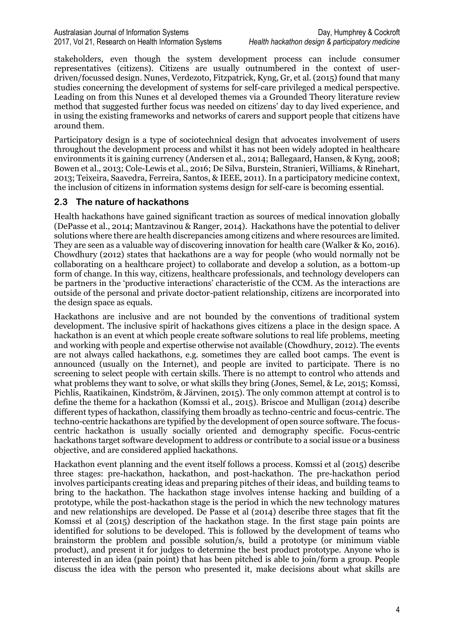stakeholders, even though the system development process can include consumer representatives (citizens). Citizens are usually outnumbered in the context of userdriven/focussed design. Nunes, Verdezoto, Fitzpatrick, Kyng, Gr, et al. (2015) found that many studies concerning the development of systems for self-care privileged a medical perspective. Leading on from this Nunes et al developed themes via a Grounded Theory literature review method that suggested further focus was needed on citizens' day to day lived experience, and in using the existing frameworks and networks of carers and support people that citizens have around them.

Participatory design is a type of sociotechnical design that advocates involvement of users throughout the development process and whilst it has not been widely adopted in healthcare environments it is gaining currency (Andersen et al., 2014; Ballegaard, Hansen, & Kyng, 2008; Bowen et al., 2013; Cole-Lewis et al., 2016; De Silva, Burstein, Stranieri, Williams, & Rinehart, 2013; Teixeira, Saavedra, Ferreira, Santos, & IEEE, 2011). In a participatory medicine context, the inclusion of citizens in information systems design for self-care is becoming essential.

### **2.3 The nature of hackathons**

Health hackathons have gained significant traction as sources of medical innovation globally (DePasse et al., 2014; Mantzavinou & Ranger, 2014). Hackathons have the potential to deliver solutions where there are health discrepancies among citizens and where resources are limited. They are seen as a valuable way of discovering innovation for health care (Walker & Ko, 2016). Chowdhury (2012) states that hackathons are a way for people (who would normally not be collaborating on a healthcare project) to collaborate and develop a solution, as a bottom-up form of change. In this way, citizens, healthcare professionals, and technology developers can be partners in the 'productive interactions' characteristic of the CCM. As the interactions are outside of the personal and private doctor-patient relationship, citizens are incorporated into the design space as equals.

Hackathons are inclusive and are not bounded by the conventions of traditional system development. The inclusive spirit of hackathons gives citizens a place in the design space. A hackathon is an event at which people create software solutions to real life problems, meeting and working with people and expertise otherwise not available (Chowdhury, 2012). The events are not always called hackathons, e.g. sometimes they are called boot camps. The event is announced (usually on the Internet), and people are invited to participate. There is no screening to select people with certain skills. There is no attempt to control who attends and what problems they want to solve, or what skills they bring (Jones, Semel, & Le, 2015; Komssi, Pichlis, Raatikainen, Kindström, & Järvinen, 2015). The only common attempt at control is to define the theme for a hackathon (Komssi et al., 2015). Briscoe and Mulligan (2014) describe different types of hackathon, classifying them broadly as techno-centric and focus-centric. The techno-centric hackathons are typified by the development of open source software. The focuscentric hackathon is usually socially oriented and demography specific. Focus-centric hackathons target software development to address or contribute to a social issue or a business objective, and are considered applied hackathons.

Hackathon event planning and the event itself follows a process. Komssi et al (2015) describe three stages: pre-hackathon, hackathon, and post-hackathon. The pre-hackathon period involves participants creating ideas and preparing pitches of their ideas, and building teams to bring to the hackathon. The hackathon stage involves intense hacking and building of a prototype, while the post-hackathon stage is the period in which the new technology matures and new relationships are developed. De Passe et al (2014) describe three stages that fit the Komssi et al (2015) description of the hackathon stage. In the first stage pain points are identified for solutions to be developed. This is followed by the development of teams who brainstorm the problem and possible solution/s, build a prototype (or minimum viable product), and present it for judges to determine the best product prototype. Anyone who is interested in an idea (pain point) that has been pitched is able to join/form a group. People discuss the idea with the person who presented it, make decisions about what skills are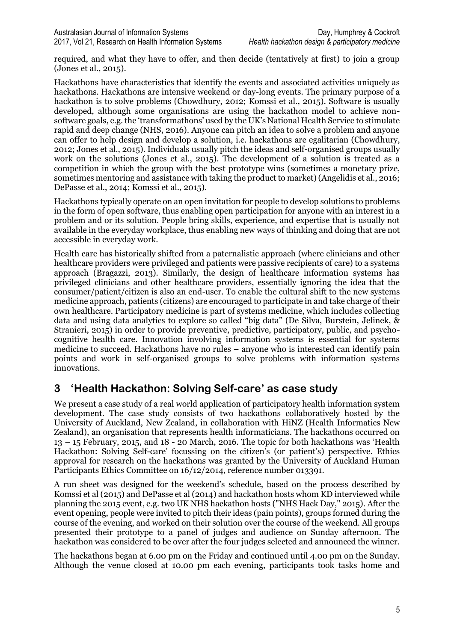required, and what they have to offer, and then decide (tentatively at first) to join a group (Jones et al., 2015).

Hackathons have characteristics that identify the events and associated activities uniquely as hackathons. Hackathons are intensive weekend or day-long events. The primary purpose of a hackathon is to solve problems (Chowdhury, 2012; Komssi et al., 2015). Software is usually developed, although some organisations are using the hackathon model to achieve nonsoftware goals, e.g. the 'transformathons' used by the UK's National Health Service to stimulate rapid and deep change (NHS, 2016). Anyone can pitch an idea to solve a problem and anyone can offer to help design and develop a solution, i.e. hackathons are egalitarian (Chowdhury, 2012; Jones et al., 2015). Individuals usually pitch the ideas and self-organised groups usually work on the solutions (Jones et al., 2015). The development of a solution is treated as a competition in which the group with the best prototype wins (sometimes a monetary prize, sometimes mentoring and assistance with taking the product to market) (Angelidis et al., 2016; DePasse et al., 2014; Komssi et al., 2015).

Hackathons typically operate on an open invitation for people to develop solutions to problems in the form of open software, thus enabling open participation for anyone with an interest in a problem and or its solution. People bring skills, experience, and expertise that is usually not available in the everyday workplace, thus enabling new ways of thinking and doing that are not accessible in everyday work.

Health care has historically shifted from a paternalistic approach (where clinicians and other healthcare providers were privileged and patients were passive recipients of care) to a systems approach (Bragazzi, 2013). Similarly, the design of healthcare information systems has privileged clinicians and other healthcare providers, essentially ignoring the idea that the consumer/patient/citizen is also an end-user. To enable the cultural shift to the new systems medicine approach, patients (citizens) are encouraged to participate in and take charge of their own healthcare. Participatory medicine is part of systems medicine, which includes collecting data and using data analytics to explore so called "big data" (De Silva, Burstein, Jelinek, & Stranieri, 2015) in order to provide preventive, predictive, participatory, public, and psychocognitive health care. Innovation involving information systems is essential for systems medicine to succeed. Hackathons have no rules – anyone who is interested can identify pain points and work in self-organised groups to solve problems with information systems innovations.

## **3 'Health Hackathon: Solving Self-care' as case study**

We present a case study of a real world application of participatory health information system development. The case study consists of two hackathons collaboratively hosted by the University of Auckland, New Zealand, in collaboration with HiNZ (Health Informatics New Zealand), an organisation that represents health informaticians. The hackathons occurred on 13 – 15 February, 2015, and 18 - 20 March, 2016. The topic for both hackathons was 'Health Hackathon: Solving Self-care' focussing on the citizen's (or patient's) perspective. Ethics approval for research on the hackathons was granted by the University of Auckland Human Participants Ethics Committee on 16/12/2014, reference number 013391.

A run sheet was designed for the weekend's schedule, based on the process described by Komssi et al (2015) and DePasse et al (2014) and hackathon hosts whom KD interviewed while planning the 2015 event, e.g. two UK NHS hackathon hosts ("NHS Hack Day," 2015). After the event opening, people were invited to pitch their ideas (pain points), groups formed during the course of the evening, and worked on their solution over the course of the weekend. All groups presented their prototype to a panel of judges and audience on Sunday afternoon. The hackathon was considered to be over after the four judges selected and announced the winner.

The hackathons began at 6.00 pm on the Friday and continued until 4.00 pm on the Sunday. Although the venue closed at 10.00 pm each evening, participants took tasks home and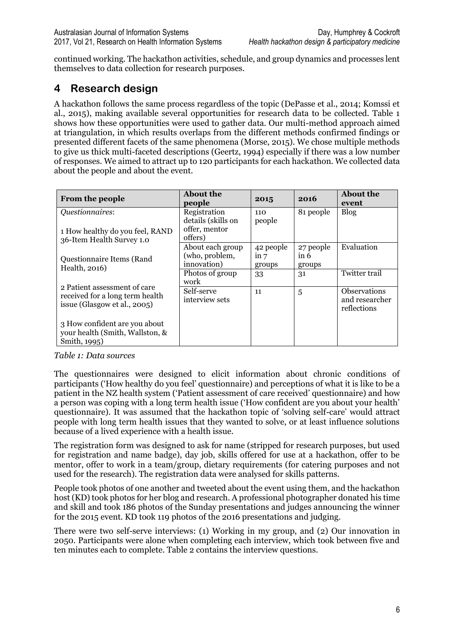continued working. The hackathon activities, schedule, and group dynamics and processes lent themselves to data collection for research purposes.

## **4 Research design**

A hackathon follows the same process regardless of the topic (DePasse et al., 2014; Komssi et al., 2015), making available several opportunities for research data to be collected. Table 1 shows how these opportunities were used to gather data. Our multi-method approach aimed at triangulation, in which results overlaps from the different methods confirmed findings or presented different facets of the same phenomena (Morse, 2015). We chose multiple methods to give us thick multi-faceted descriptions (Geertz, 1994) especially if there was a low number of responses. We aimed to attract up to 120 participants for each hackathon. We collected data about the people and about the event.

| <b>From the people</b>                                                                          | <b>About the</b><br>people                     | 2015           | 2016               | <b>About the</b><br>event                            |
|-------------------------------------------------------------------------------------------------|------------------------------------------------|----------------|--------------------|------------------------------------------------------|
| Questionnaires:                                                                                 | Registration                                   | 110            | 81 people          | <b>Blog</b>                                          |
| 1 How healthy do you feel, RAND<br>36-Item Health Survey 1.0                                    | details (skills on<br>offer, mentor<br>offers) | people         |                    |                                                      |
|                                                                                                 | About each group                               | 42 people      | 27 people          | Evaluation                                           |
| Questionnaire Items (Rand<br>Health, 2016)                                                      | (who, problem,<br>innovation)                  | in 7<br>groups | $\sin 6$<br>groups |                                                      |
|                                                                                                 | Photos of group<br>work                        | 33             | 31                 | Twitter trail                                        |
| 2 Patient assessment of care<br>received for a long term health<br>issue (Glasgow et al., 2005) | Self-serve<br>interview sets                   | 11             | 5                  | <b>Observations</b><br>and researcher<br>reflections |
| 3 How confident are you about<br>your health (Smith, Wallston, &<br>Smith, 1995)                |                                                |                |                    |                                                      |

#### *Table 1: Data sources*

The questionnaires were designed to elicit information about chronic conditions of participants ('How healthy do you feel' questionnaire) and perceptions of what it is like to be a patient in the NZ health system ('Patient assessment of care received' questionnaire) and how a person was coping with a long term health issue ('How confident are you about your health' questionnaire). It was assumed that the hackathon topic of 'solving self-care' would attract people with long term health issues that they wanted to solve, or at least influence solutions because of a lived experience with a health issue.

The registration form was designed to ask for name (stripped for research purposes, but used for registration and name badge), day job, skills offered for use at a hackathon, offer to be mentor, offer to work in a team/group, dietary requirements (for catering purposes and not used for the research). The registration data were analysed for skills patterns.

People took photos of one another and tweeted about the event using them, and the hackathon host (KD) took photos for her blog and research. A professional photographer donated his time and skill and took 186 photos of the Sunday presentations and judges announcing the winner for the 2015 event. KD took 119 photos of the 2016 presentations and judging.

There were two self-serve interviews: (1) Working in my group, and (2) Our innovation in 2050. Participants were alone when completing each interview, which took between five and ten minutes each to complete. Table 2 contains the interview questions.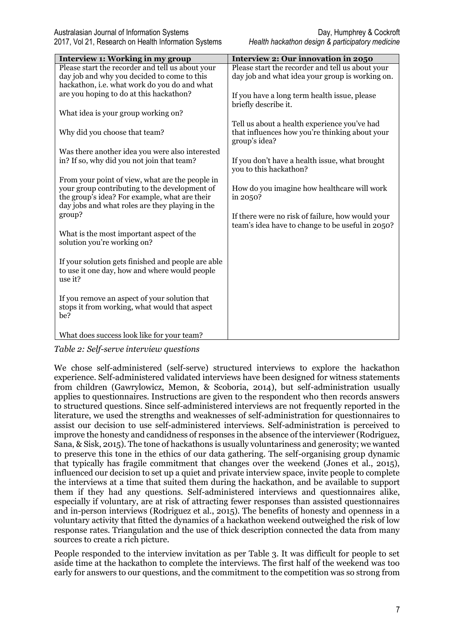| Interview 1: Working in my group                                                                                                                                                                     | Interview 2: Our innovation in 2050                                                                             |
|------------------------------------------------------------------------------------------------------------------------------------------------------------------------------------------------------|-----------------------------------------------------------------------------------------------------------------|
| Please start the recorder and tell us about your                                                                                                                                                     | Please start the recorder and tell us about your                                                                |
| day job and why you decided to come to this                                                                                                                                                          | day job and what idea your group is working on.                                                                 |
| hackathon, i.e. what work do you do and what<br>are you hoping to do at this hackathon?                                                                                                              | If you have a long term health issue, please<br>briefly describe it.                                            |
| What idea is your group working on?                                                                                                                                                                  |                                                                                                                 |
| Why did you choose that team?                                                                                                                                                                        | Tell us about a health experience you've had<br>that influences how you're thinking about your<br>group's idea? |
| Was there another idea you were also interested                                                                                                                                                      |                                                                                                                 |
| in? If so, why did you not join that team?                                                                                                                                                           | If you don't have a health issue, what brought<br>you to this hackathon?                                        |
| From your point of view, what are the people in<br>your group contributing to the development of<br>the group's idea? For example, what are their<br>day jobs and what roles are they playing in the | How do you imagine how healthcare will work<br>in 2050?                                                         |
| group?                                                                                                                                                                                               | If there were no risk of failure, how would your<br>team's idea have to change to be useful in 2050?            |
| What is the most important aspect of the<br>solution you're working on?                                                                                                                              |                                                                                                                 |
| If your solution gets finished and people are able<br>to use it one day, how and where would people<br>use it?                                                                                       |                                                                                                                 |
| If you remove an aspect of your solution that<br>stops it from working, what would that aspect<br>be?                                                                                                |                                                                                                                 |
| What does success look like for your team?                                                                                                                                                           |                                                                                                                 |

*Table 2: Self-serve interview questions*

We chose self-administered (self-serve) structured interviews to explore the hackathon experience. Self-administered validated interviews have been designed for witness statements from children (Gawrylowicz, Memon, & Scoboria, 2014), but self-administration usually applies to questionnaires. Instructions are given to the respondent who then records answers to structured questions. Since self-administered interviews are not frequently reported in the literature, we used the strengths and weaknesses of self-administration for questionnaires to assist our decision to use self-administered interviews. Self-administration is perceived to improve the honesty and candidness of responses in the absence of the interviewer (Rodriguez, Sana, & Sisk, 2015). The tone of hackathons is usually voluntariness and generosity; we wanted to preserve this tone in the ethics of our data gathering. The self-organising group dynamic that typically has fragile commitment that changes over the weekend (Jones et al., 2015), influenced our decision to set up a quiet and private interview space, invite people to complete the interviews at a time that suited them during the hackathon, and be available to support them if they had any questions. Self-administered interviews and questionnaires alike, especially if voluntary, are at risk of attracting fewer responses than assisted questionnaires and in-person interviews (Rodriguez et al., 2015). The benefits of honesty and openness in a voluntary activity that fitted the dynamics of a hackathon weekend outweighed the risk of low response rates. Triangulation and the use of thick description connected the data from many sources to create a rich picture.

People responded to the interview invitation as per Table 3. It was difficult for people to set aside time at the hackathon to complete the interviews. The first half of the weekend was too early for answers to our questions, and the commitment to the competition was so strong from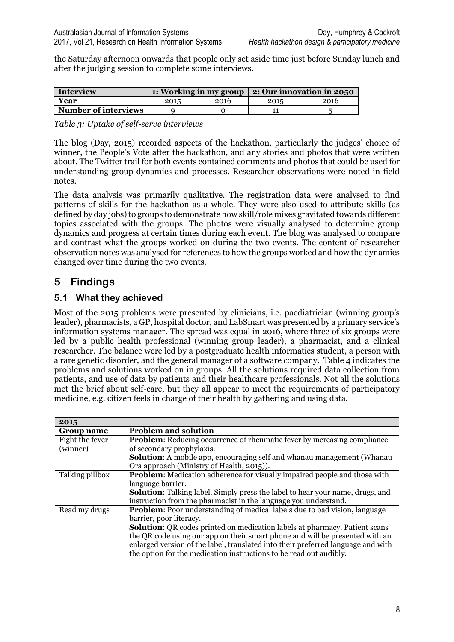the Saturday afternoon onwards that people only set aside time just before Sunday lunch and after the judging session to complete some interviews.

| Interview            | 1: Working in my group |      | $\mid$ 2: Our innovation in 2050 |      |  |
|----------------------|------------------------|------|----------------------------------|------|--|
| Year                 | 2015                   | 2016 | 2015                             | 2016 |  |
| Number of interviews |                        |      |                                  |      |  |

*Table 3: Uptake of self-serve interviews* 

The blog (Day, 2015) recorded aspects of the hackathon, particularly the judges' choice of winner, the People's Vote after the hackathon, and any stories and photos that were written about. The Twitter trail for both events contained comments and photos that could be used for understanding group dynamics and processes. Researcher observations were noted in field notes.

The data analysis was primarily qualitative. The registration data were analysed to find patterns of skills for the hackathon as a whole. They were also used to attribute skills (as defined by day jobs) to groups to demonstrate how skill/role mixes gravitated towards different topics associated with the groups. The photos were visually analysed to determine group dynamics and progress at certain times during each event. The blog was analysed to compare and contrast what the groups worked on during the two events. The content of researcher observation notes was analysed for references to how the groups worked and how the dynamics changed over time during the two events.

## **5 Findings**

## **5.1 What they achieved**

Most of the 2015 problems were presented by clinicians, i.e. paediatrician (winning group's leader), pharmacists, a GP, hospital doctor, and LabSmart was presented by a primary service's information systems manager. The spread was equal in 2016, where three of six groups were led by a public health professional (winning group leader), a pharmacist, and a clinical researcher. The balance were led by a postgraduate health informatics student, a person with a rare genetic disorder, and the general manager of a software company. Table 4 indicates the problems and solutions worked on in groups. All the solutions required data collection from patients, and use of data by patients and their healthcare professionals. Not all the solutions met the brief about self-care, but they all appear to meet the requirements of participatory medicine, e.g. citizen feels in charge of their health by gathering and using data.

| 2015              |                                                                                      |
|-------------------|--------------------------------------------------------------------------------------|
| <b>Group name</b> | <b>Problem and solution</b>                                                          |
| Fight the fever   | <b>Problem:</b> Reducing occurrence of rheumatic fever by increasing compliance      |
| (winner)          | of secondary prophylaxis.                                                            |
|                   | <b>Solution:</b> A mobile app, encouraging self and whanau management (Whanau        |
|                   | Ora approach (Ministry of Health, 2015)).                                            |
| Talking pillbox   | <b>Problem:</b> Medication adherence for visually impaired people and those with     |
|                   | language barrier.                                                                    |
|                   | <b>Solution:</b> Talking label. Simply press the label to hear your name, drugs, and |
|                   | instruction from the pharmacist in the language you understand.                      |
| Read my drugs     | <b>Problem:</b> Poor understanding of medical labels due to bad vision, language     |
|                   | barrier, poor literacy.                                                              |
|                   | <b>Solution:</b> QR codes printed on medication labels at pharmacy. Patient scans    |
|                   | the QR code using our app on their smart phone and will be presented with an         |
|                   | enlarged version of the label, translated into their preferred language and with     |
|                   | the option for the medication instructions to be read out audibly.                   |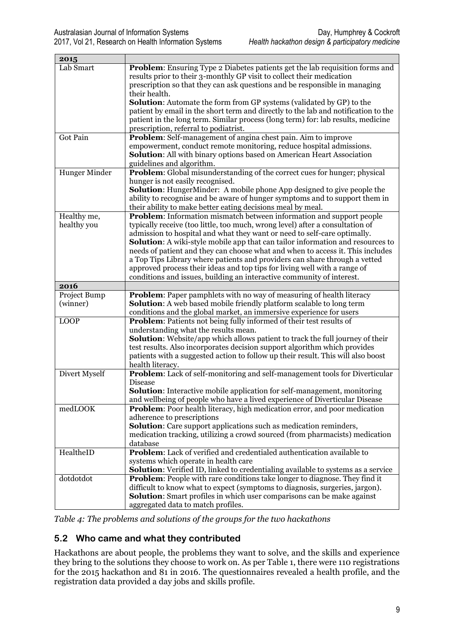| 2015                       |                                                                                                                                                                                                                                                                                                                                                                                                                                                                                                                                                                                                                                                         |
|----------------------------|---------------------------------------------------------------------------------------------------------------------------------------------------------------------------------------------------------------------------------------------------------------------------------------------------------------------------------------------------------------------------------------------------------------------------------------------------------------------------------------------------------------------------------------------------------------------------------------------------------------------------------------------------------|
| Lab Smart                  | <b>Problem:</b> Ensuring Type 2 Diabetes patients get the lab requisition forms and<br>results prior to their 3-monthly GP visit to collect their medication<br>prescription so that they can ask questions and be responsible in managing<br>their health.                                                                                                                                                                                                                                                                                                                                                                                             |
|                            | <b>Solution:</b> Automate the form from GP systems (validated by GP) to the<br>patient by email in the short term and directly to the lab and notification to the<br>patient in the long term. Similar process (long term) for: lab results, medicine<br>prescription, referral to podiatrist.                                                                                                                                                                                                                                                                                                                                                          |
| <b>Got Pain</b>            | Problem: Self-management of angina chest pain. Aim to improve<br>empowerment, conduct remote monitoring, reduce hospital admissions.<br><b>Solution:</b> All with binary options based on American Heart Association<br>guidelines and algorithm.                                                                                                                                                                                                                                                                                                                                                                                                       |
| <b>Hunger Minder</b>       | Problem: Global misunderstanding of the correct cues for hunger; physical<br>hunger is not easily recognised.<br><b>Solution:</b> HungerMinder: A mobile phone App designed to give people the<br>ability to recognise and be aware of hunger symptoms and to support them in<br>their ability to make better eating decisions meal by meal.                                                                                                                                                                                                                                                                                                            |
| Healthy me,<br>healthy you | <b>Problem:</b> Information mismatch between information and support people<br>typically receive (too little, too much, wrong level) after a consultation of<br>admission to hospital and what they want or need to self-care optimally.<br><b>Solution:</b> A wiki-style mobile app that can tailor information and resources to<br>needs of patient and they can choose what and when to access it. This includes<br>a Top Tips Library where patients and providers can share through a vetted<br>approved process their ideas and top tips for living well with a range of<br>conditions and issues, building an interactive community of interest. |
| 2016                       |                                                                                                                                                                                                                                                                                                                                                                                                                                                                                                                                                                                                                                                         |
|                            |                                                                                                                                                                                                                                                                                                                                                                                                                                                                                                                                                                                                                                                         |
| Project Bump<br>(winner)   | <b>Problem:</b> Paper pamphlets with no way of measuring of health literacy<br>Solution: A web based mobile friendly platform scalable to long term<br>conditions and the global market, an immersive experience for users                                                                                                                                                                                                                                                                                                                                                                                                                              |
| <b>LOOP</b>                | Problem: Patients not being fully informed of their test results of<br>understanding what the results mean.<br><b>Solution:</b> Website/app which allows patient to track the full journey of their<br>test results. Also incorporates decision support algorithm which provides<br>patients with a suggested action to follow up their result. This will also boost                                                                                                                                                                                                                                                                                    |
| Divert Myself              | health literacy.<br>Problem: Lack of self-monitoring and self-management tools for Diverticular<br>Disease<br><b>Solution:</b> Interactive mobile application for self-management, monitoring<br>and wellbeing of people who have a lived experience of Diverticular Disease                                                                                                                                                                                                                                                                                                                                                                            |
| medLOOK                    | Problem: Poor health literacy, high medication error, and poor medication<br>adherence to prescriptions<br><b>Solution:</b> Care support applications such as medication reminders,<br>medication tracking, utilizing a crowd sourced (from pharmacists) medication<br>database                                                                                                                                                                                                                                                                                                                                                                         |
| HealtheID                  | <b>Problem:</b> Lack of verified and credentialed authentication available to<br>systems which operate in health care<br>Solution: Verified ID, linked to credentialing available to systems as a service                                                                                                                                                                                                                                                                                                                                                                                                                                               |

*Table 4: The problems and solutions of the groups for the two hackathons*

## **5.2 Who came and what they contributed**

Hackathons are about people, the problems they want to solve, and the skills and experience they bring to the solutions they choose to work on. As per Table 1, there were 110 registrations for the 2015 hackathon and 81 in 2016. The questionnaires revealed a health profile, and the registration data provided a day jobs and skills profile.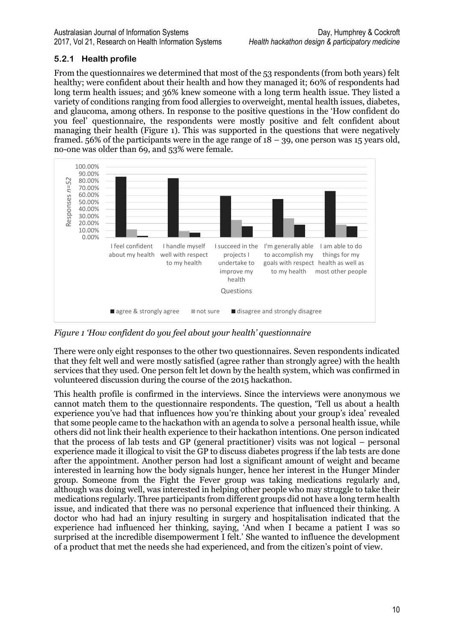### **5.2.1 Health profile**

From the questionnaires we determined that most of the 53 respondents (from both years) felt healthy; were confident about their health and how they managed it; 60% of respondents had long term health issues; and 36% knew someone with a long term health issue. They listed a variety of conditions ranging from food allergies to overweight, mental health issues, diabetes, and glaucoma, among others. In response to the positive questions in the 'How confident do you feel' questionnaire, the respondents were mostly positive and felt confident about managing their health (Figure 1). This was supported in the questions that were negatively framed. 56% of the participants were in the age range of 18 – 39, one person was 15 years old, no-one was older than 69, and 53% were female.



*Figure 1 'How confident do you feel about your health' questionnaire*

There were only eight responses to the other two questionnaires. Seven respondents indicated that they felt well and were mostly satisfied (agree rather than strongly agree) with the health services that they used. One person felt let down by the health system, which was confirmed in volunteered discussion during the course of the 2015 hackathon.

This health profile is confirmed in the interviews. Since the interviews were anonymous we cannot match them to the questionnaire respondents. The question, 'Tell us about a health experience you've had that influences how you're thinking about your group's idea' revealed that some people came to the hackathon with an agenda to solve a personal health issue, while others did not link their health experience to their hackathon intentions. One person indicated that the process of lab tests and GP (general practitioner) visits was not logical – personal experience made it illogical to visit the GP to discuss diabetes progress if the lab tests are done after the appointment. Another person had lost a significant amount of weight and became interested in learning how the body signals hunger, hence her interest in the Hunger Minder group. Someone from the Fight the Fever group was taking medications regularly and, although was doing well, was interested in helping other people who may struggle to take their medications regularly. Three participants from different groups did not have a long term health issue, and indicated that there was no personal experience that influenced their thinking. A doctor who had had an injury resulting in surgery and hospitalisation indicated that the experience had influenced her thinking, saying, 'And when I became a patient I was so surprised at the incredible disempowerment I felt.' She wanted to influence the development of a product that met the needs she had experienced, and from the citizen's point of view.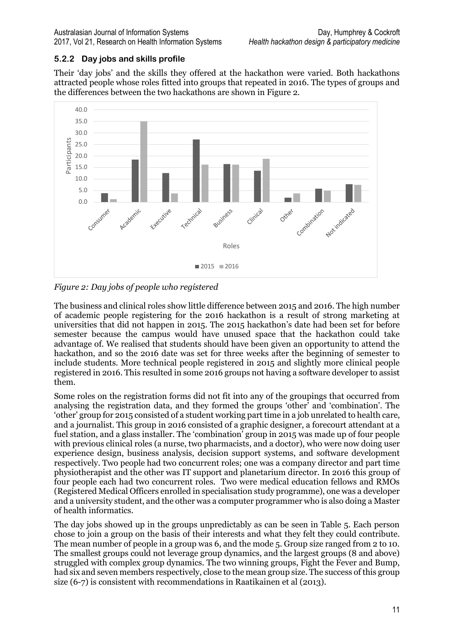### **5.2.2 Day jobs and skills profile**

Their 'day jobs' and the skills they offered at the hackathon were varied. Both hackathons attracted people whose roles fitted into groups that repeated in 2016. The types of groups and the differences between the two hackathons are shown in Figure 2.



*Figure 2: Day jobs of people who registered*

The business and clinical roles show little difference between 2015 and 2016. The high number of academic people registering for the 2016 hackathon is a result of strong marketing at universities that did not happen in 2015. The 2015 hackathon's date had been set for before semester because the campus would have unused space that the hackathon could take advantage of. We realised that students should have been given an opportunity to attend the hackathon, and so the 2016 date was set for three weeks after the beginning of semester to include students. More technical people registered in 2015 and slightly more clinical people registered in 2016. This resulted in some 2016 groups not having a software developer to assist them.

Some roles on the registration forms did not fit into any of the groupings that occurred from analysing the registration data, and they formed the groups 'other' and 'combination'. The 'other' group for 2015 consisted of a student working part time in a job unrelated to health care, and a journalist. This group in 2016 consisted of a graphic designer, a forecourt attendant at a fuel station, and a glass installer. The 'combination' group in 2015 was made up of four people with previous clinical roles (a nurse, two pharmacists, and a doctor), who were now doing user experience design, business analysis, decision support systems, and software development respectively. Two people had two concurrent roles; one was a company director and part time physiotherapist and the other was IT support and planetarium director. In 2016 this group of four people each had two concurrent roles. Two were medical education fellows and RMOs (Registered Medical Officers enrolled in specialisation study programme), one was a developer and a university student, and the other was a computer programmer who is also doing a Master of health informatics.

The day jobs showed up in the groups unpredictably as can be seen in Table 5. Each person chose to join a group on the basis of their interests and what they felt they could contribute. The mean number of people in a group was 6, and the mode 5. Group size ranged from 2 to 10. The smallest groups could not leverage group dynamics, and the largest groups (8 and above) struggled with complex group dynamics. The two winning groups, Fight the Fever and Bump, had six and seven members respectively, close to the mean group size. The success of this group size (6-7) is consistent with recommendations in Raatikainen et al (2013).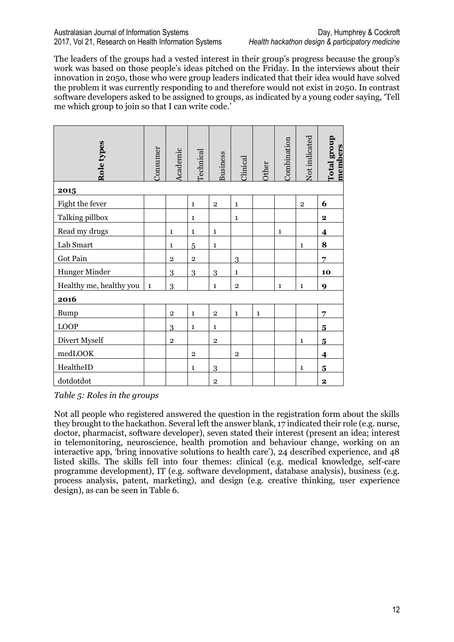The leaders of the groups had a vested interest in their group's progress because the group's work was based on those people's ideas pitched on the Friday. In the interviews about their innovation in 2050, those who were group leaders indicated that their idea would have solved the problem it was currently responding to and therefore would not exist in 2050. In contrast software developers asked to be assigned to groups, as indicated by a young coder saying, 'Tell me which group to join so that I can write code.'

| Role types              | Consumer     | Academic                | Technical    | <b>Business</b> | Clinical     | Other        | Combination  | Not indicated  | <b>Total group</b><br>members |
|-------------------------|--------------|-------------------------|--------------|-----------------|--------------|--------------|--------------|----------------|-------------------------------|
| 2015                    |              |                         |              |                 |              |              |              |                |                               |
| Fight the fever         |              |                         | $\mathbf{1}$ | $\mathbf{2}$    | $\mathbf{1}$ |              |              | $\overline{2}$ | 6                             |
| Talking pillbox         |              |                         | $\mathbf{1}$ |                 | $\mathbf{1}$ |              |              |                | $\mathbf{2}$                  |
| Read my drugs           |              | $\mathbf{1}$            | $\mathbf{1}$ | $\mathbf{1}$    |              |              | $\mathbf{1}$ |                | $\overline{\mathbf{4}}$       |
| Lab Smart               |              | $\mathbf{1}$            | 5            | $\mathbf{1}$    |              |              |              | $\mathbf{1}$   | 8                             |
| Got Pain                |              | $\mathbf{2}$            | $\mathbf{2}$ |                 | 3            |              |              |                | 7                             |
| Hunger Minder           |              | 3                       | 3            | 3               | $\mathbf{1}$ |              |              |                | 10                            |
| Healthy me, healthy you | $\mathbf{1}$ | 3                       |              | $\mathbf{1}$    | $\mathbf{2}$ |              | $\mathbf{1}$ | $\mathbf 1$    | 9                             |
| 2016                    |              |                         |              |                 |              |              |              |                |                               |
| <b>Bump</b>             |              | $\mathbf{2}$            | $\mathbf{1}$ | $\overline{2}$  | $\mathbf{1}$ | $\mathbf{1}$ |              |                | 7                             |
| <b>LOOP</b>             |              | 3                       | $\mathbf{1}$ | $\mathbf{1}$    |              |              |              |                | $\overline{\mathbf{5}}$       |
| Divert Myself           |              | $\overline{\mathbf{2}}$ |              | $\mathbf 2$     |              |              |              | $\mathbf{1}$   | $\overline{\mathbf{5}}$       |
| medLOOK                 |              |                         | $\,2$        |                 | $\mathbf{2}$ |              |              |                | $\overline{\mathbf{4}}$       |
| HealtheID               |              |                         | $\mathbf{1}$ | 3               |              |              |              | $\mathbf{1}$   | $\overline{\mathbf{5}}$       |
| dotdotdot               |              |                         |              | $\overline{2}$  |              |              |              |                | $\mathbf{2}$                  |

*Table 5: Roles in the groups*

Not all people who registered answered the question in the registration form about the skills they brought to the hackathon. Several left the answer blank, 17 indicated their role (e.g. nurse, doctor, pharmacist, software developer), seven stated their interest (present an idea; interest in telemonitoring, neuroscience, health promotion and behaviour change, working on an interactive app, 'bring innovative solutions to health care'), 24 described experience, and 48 listed skills. The skills fell into four themes: clinical (e.g. medical knowledge, self-care programme development), IT (e.g. software development, database analysis), business (e.g. process analysis, patent, marketing), and design (e.g. creative thinking, user experience design), as can be seen in Table 6.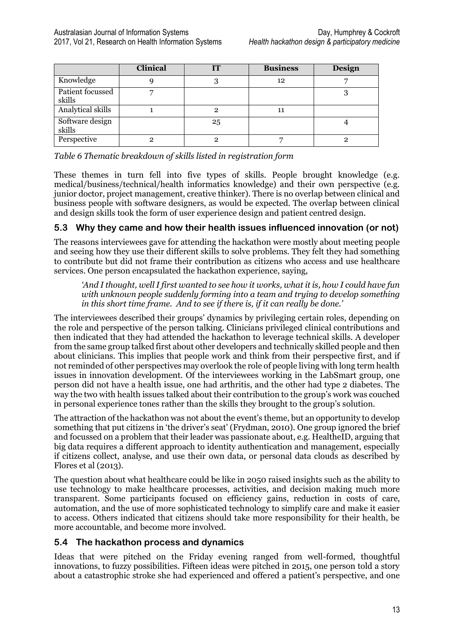|                            | <b>Clinical</b> | тт | <b>Business</b> | <b>Design</b> |
|----------------------------|-----------------|----|-----------------|---------------|
| Knowledge                  |                 |    | 12              |               |
| Patient focussed<br>skills |                 |    |                 |               |
| Analytical skills          |                 |    | 11              |               |
| Software design<br>skills  |                 | 25 |                 |               |
| Perspective                |                 |    |                 |               |

*Table 6 Thematic breakdown of skills listed in registration form*

These themes in turn fell into five types of skills. People brought knowledge (e.g. medical/business/technical/health informatics knowledge) and their own perspective (e.g. junior doctor, project management, creative thinker). There is no overlap between clinical and business people with software designers, as would be expected. The overlap between clinical and design skills took the form of user experience design and patient centred design.

### **5.3 Why they came and how their health issues influenced innovation (or not)**

The reasons interviewees gave for attending the hackathon were mostly about meeting people and seeing how they use their different skills to solve problems. They felt they had something to contribute but did not frame their contribution as citizens who access and use healthcare services. One person encapsulated the hackathon experience, saying,

*'And I thought, well I first wanted to see how it works, what it is, how I could have fun*  with unknown people suddenly forming into a team and trying to develop something *in this short time frame. And to see if there is, if it can really be done.'*

The interviewees described their groups' dynamics by privileging certain roles, depending on the role and perspective of the person talking. Clinicians privileged clinical contributions and then indicated that they had attended the hackathon to leverage technical skills. A developer from the same group talked first about other developers and technically skilled people and then about clinicians. This implies that people work and think from their perspective first, and if not reminded of other perspectives may overlook the role of people living with long term health issues in innovation development. Of the interviewees working in the LabSmart group, one person did not have a health issue, one had arthritis, and the other had type 2 diabetes. The way the two with health issues talked about their contribution to the group's work was couched in personal experience tones rather than the skills they brought to the group's solution.

The attraction of the hackathon was not about the event's theme, but an opportunity to develop something that put citizens in 'the driver's seat' (Frydman, 2010). One group ignored the brief and focussed on a problem that their leader was passionate about, e.g. HealtheID, arguing that big data requires a different approach to identity authentication and management, especially if citizens collect, analyse, and use their own data, or personal data clouds as described by Flores et al (2013).

The question about what healthcare could be like in 2050 raised insights such as the ability to use technology to make healthcare processes, activities, and decision making much more transparent. Some participants focused on efficiency gains, reduction in costs of care, automation, and the use of more sophisticated technology to simplify care and make it easier to access. Others indicated that citizens should take more responsibility for their health, be more accountable, and become more involved.

#### **5.4 The hackathon process and dynamics**

Ideas that were pitched on the Friday evening ranged from well-formed, thoughtful innovations, to fuzzy possibilities. Fifteen ideas were pitched in 2015, one person told a story about a catastrophic stroke she had experienced and offered a patient's perspective, and one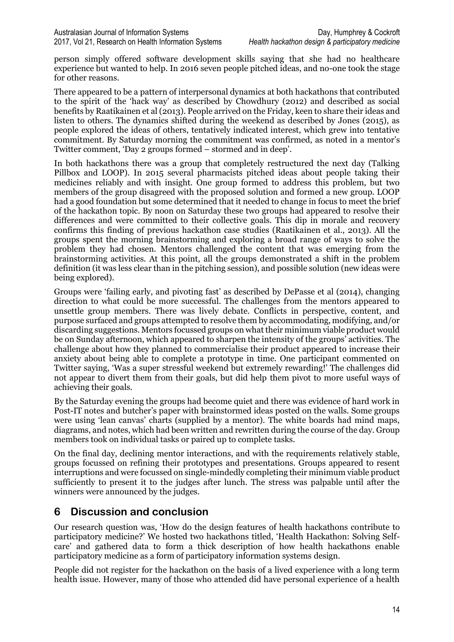person simply offered software development skills saying that she had no healthcare experience but wanted to help. In 2016 seven people pitched ideas, and no-one took the stage for other reasons.

There appeared to be a pattern of interpersonal dynamics at both hackathons that contributed to the spirit of the 'hack way' as described by Chowdhury (2012) and described as social benefits by Raatikainen et al (2013). People arrived on the Friday, keen to share their ideas and listen to others. The dynamics shifted during the weekend as described by Jones (2015), as people explored the ideas of others, tentatively indicated interest, which grew into tentative commitment. By Saturday morning the commitment was confirmed, as noted in a mentor's Twitter comment, 'Day 2 groups formed – stormed and in deep'.

In both hackathons there was a group that completely restructured the next day (Talking Pillbox and LOOP). In 2015 several pharmacists pitched ideas about people taking their medicines reliably and with insight. One group formed to address this problem, but two members of the group disagreed with the proposed solution and formed a new group. LOOP had a good foundation but some determined that it needed to change in focus to meet the brief of the hackathon topic. By noon on Saturday these two groups had appeared to resolve their differences and were committed to their collective goals. This dip in morale and recovery confirms this finding of previous hackathon case studies (Raatikainen et al., 2013). All the groups spent the morning brainstorming and exploring a broad range of ways to solve the problem they had chosen. Mentors challenged the content that was emerging from the brainstorming activities. At this point, all the groups demonstrated a shift in the problem definition (it was less clear than in the pitching session), and possible solution (new ideas were being explored).

Groups were 'failing early, and pivoting fast' as described by DePasse et al (2014), changing direction to what could be more successful. The challenges from the mentors appeared to unsettle group members. There was lively debate. Conflicts in perspective, content, and purpose surfaced and groups attempted to resolve them by accommodating, modifying, and/or discarding suggestions. Mentors focussed groups on what their minimum viable product would be on Sunday afternoon, which appeared to sharpen the intensity of the groups' activities. The challenge about how they planned to commercialise their product appeared to increase their anxiety about being able to complete a prototype in time. One participant commented on Twitter saying, 'Was a super stressful weekend but extremely rewarding!' The challenges did not appear to divert them from their goals, but did help them pivot to more useful ways of achieving their goals.

By the Saturday evening the groups had become quiet and there was evidence of hard work in Post-IT notes and butcher's paper with brainstormed ideas posted on the walls. Some groups were using 'lean canvas' charts (supplied by a mentor). The white boards had mind maps, diagrams, and notes, which had been written and rewritten during the course of the day. Group members took on individual tasks or paired up to complete tasks.

On the final day, declining mentor interactions, and with the requirements relatively stable, groups focussed on refining their prototypes and presentations. Groups appeared to resent interruptions and were focussed on single-mindedly completing their minimum viable product sufficiently to present it to the judges after lunch. The stress was palpable until after the winners were announced by the judges.

## **6 Discussion and conclusion**

Our research question was, 'How do the design features of health hackathons contribute to participatory medicine?' We hosted two hackathons titled, 'Health Hackathon: Solving Selfcare' and gathered data to form a thick description of how health hackathons enable participatory medicine as a form of participatory information systems design.

People did not register for the hackathon on the basis of a lived experience with a long term health issue. However, many of those who attended did have personal experience of a health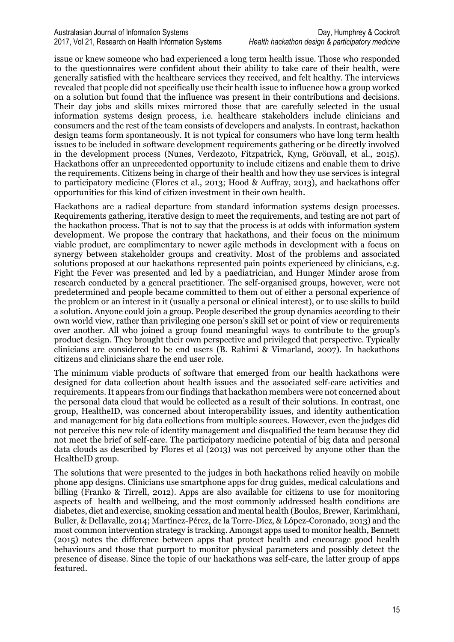issue or knew someone who had experienced a long term health issue. Those who responded to the questionnaires were confident about their ability to take care of their health, were generally satisfied with the healthcare services they received, and felt healthy. The interviews revealed that people did not specifically use their health issue to influence how a group worked on a solution but found that the influence was present in their contributions and decisions. Their day jobs and skills mixes mirrored those that are carefully selected in the usual information systems design process, i.e. healthcare stakeholders include clinicians and consumers and the rest of the team consists of developers and analysts. In contrast, hackathon design teams form spontaneously. It is not typical for consumers who have long term health issues to be included in software development requirements gathering or be directly involved in the development process (Nunes, Verdezoto, Fitzpatrick, Kyng, Grönvall, et al., 2015). Hackathons offer an unprecedented opportunity to include citizens and enable them to drive the requirements. Citizens being in charge of their health and how they use services is integral to participatory medicine (Flores et al., 2013; Hood & Auffray, 2013), and hackathons offer opportunities for this kind of citizen investment in their own health.

Hackathons are a radical departure from standard information systems design processes. Requirements gathering, iterative design to meet the requirements, and testing are not part of the hackathon process. That is not to say that the process is at odds with information system development. We propose the contrary that hackathons, and their focus on the minimum viable product, are complimentary to newer agile methods in development with a focus on synergy between stakeholder groups and creativity. Most of the problems and associated solutions proposed at our hackathons represented pain points experienced by clinicians, e.g. Fight the Fever was presented and led by a paediatrician, and Hunger Minder arose from research conducted by a general practitioner. The self-organised groups, however, were not predetermined and people became committed to them out of either a personal experience of the problem or an interest in it (usually a personal or clinical interest), or to use skills to build a solution. Anyone could join a group. People described the group dynamics according to their own world view, rather than privileging one person's skill set or point of view or requirements over another. All who joined a group found meaningful ways to contribute to the group's product design. They brought their own perspective and privileged that perspective. Typically clinicians are considered to be end users (B. Rahimi & Vimarland, 2007). In hackathons citizens and clinicians share the end user role.

The minimum viable products of software that emerged from our health hackathons were designed for data collection about health issues and the associated self-care activities and requirements. It appears from our findings that hackathon members were not concerned about the personal data cloud that would be collected as a result of their solutions. In contrast, one group, HealtheID, was concerned about interoperability issues, and identity authentication and management for big data collections from multiple sources. However, even the judges did not perceive this new role of identity management and disqualified the team because they did not meet the brief of self-care. The participatory medicine potential of big data and personal data clouds as described by Flores et al (2013) was not perceived by anyone other than the HealtheID group.

The solutions that were presented to the judges in both hackathons relied heavily on mobile phone app designs. Clinicians use smartphone apps for drug guides, medical calculations and billing (Franko & Tirrell, 2012). Apps are also available for citizens to use for monitoring aspects of health and wellbeing, and the most commonly addressed health conditions are diabetes, diet and exercise, smoking cessation and mental health (Boulos, Brewer, Karimkhani, Buller, & Dellavalle, 2014; Martínez-Pérez, de la Torre-Díez, & López-Coronado, 2013) and the most common intervention strategy is tracking. Amongst apps used to monitor health, Bennett (2015) notes the difference between apps that protect health and encourage good health behaviours and those that purport to monitor physical parameters and possibly detect the presence of disease. Since the topic of our hackathons was self-care, the latter group of apps featured.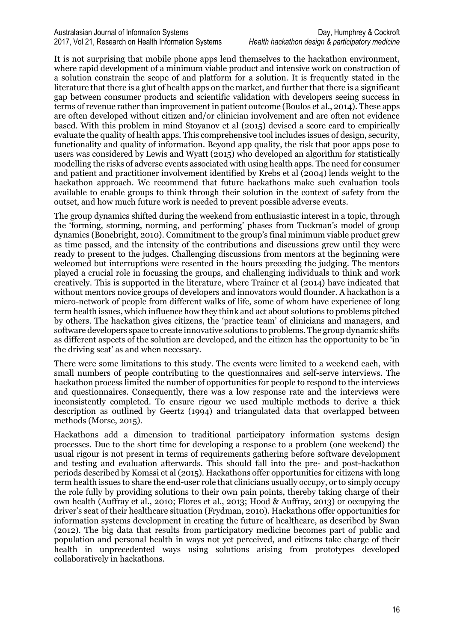It is not surprising that mobile phone apps lend themselves to the hackathon environment, where rapid development of a minimum viable product and intensive work on construction of a solution constrain the scope of and platform for a solution. It is frequently stated in the literature that there is a glut of health apps on the market, and further that there is a significant gap between consumer products and scientific validation with developers seeing success in terms of revenue rather than improvement in patient outcome (Boulos et al., 2014). These apps are often developed without citizen and/or clinician involvement and are often not evidence based. With this problem in mind Stoyanov et al (2015) devised a score card to empirically evaluate the quality of health apps. This comprehensive tool includes issues of design, security, functionality and quality of information. Beyond app quality, the risk that poor apps pose to users was considered by Lewis and Wyatt (2015) who developed an algorithm for statistically modelling the risks of adverse events associated with using health apps. The need for consumer and patient and practitioner involvement identified by Krebs et al (2004) lends weight to the hackathon approach. We recommend that future hackathons make such evaluation tools available to enable groups to think through their solution in the context of safety from the outset, and how much future work is needed to prevent possible adverse events.

The group dynamics shifted during the weekend from enthusiastic interest in a topic, through the 'forming, storming, norming, and performing' phases from Tuckman's model of group dynamics (Bonebright, 2010). Commitment to the group's final minimum viable product grew as time passed, and the intensity of the contributions and discussions grew until they were ready to present to the judges. Challenging discussions from mentors at the beginning were welcomed but interruptions were resented in the hours preceding the judging. The mentors played a crucial role in focussing the groups, and challenging individuals to think and work creatively. This is supported in the literature, where Trainer et al (2014) have indicated that without mentors novice groups of developers and innovators would flounder. A hackathon is a micro-network of people from different walks of life, some of whom have experience of long term health issues, which influence how they think and act about solutions to problems pitched by others. The hackathon gives citizens, the 'practice team' of clinicians and managers, and software developers space to create innovative solutions to problems. The group dynamic shifts as different aspects of the solution are developed, and the citizen has the opportunity to be 'in the driving seat' as and when necessary.

There were some limitations to this study. The events were limited to a weekend each, with small numbers of people contributing to the questionnaires and self-serve interviews. The hackathon process limited the number of opportunities for people to respond to the interviews and questionnaires. Consequently, there was a low response rate and the interviews were inconsistently completed. To ensure rigour we used multiple methods to derive a thick description as outlined by Geertz (1994) and triangulated data that overlapped between methods (Morse, 2015).

Hackathons add a dimension to traditional participatory information systems design processes. Due to the short time for developing a response to a problem (one weekend) the usual rigour is not present in terms of requirements gathering before software development and testing and evaluation afterwards. This should fall into the pre- and post-hackathon periods described by Komssi et al (2015). Hackathons offer opportunities for citizens with long term health issues to share the end-user role that clinicians usually occupy, or to simply occupy the role fully by providing solutions to their own pain points, thereby taking charge of their own health (Auffray et al., 2010; Flores et al., 2013; Hood & Auffray, 2013) or occupying the driver's seat of their healthcare situation (Frydman, 2010). Hackathons offer opportunities for information systems development in creating the future of healthcare, as described by Swan (2012). The big data that results from participatory medicine becomes part of public and population and personal health in ways not yet perceived, and citizens take charge of their health in unprecedented ways using solutions arising from prototypes developed collaboratively in hackathons.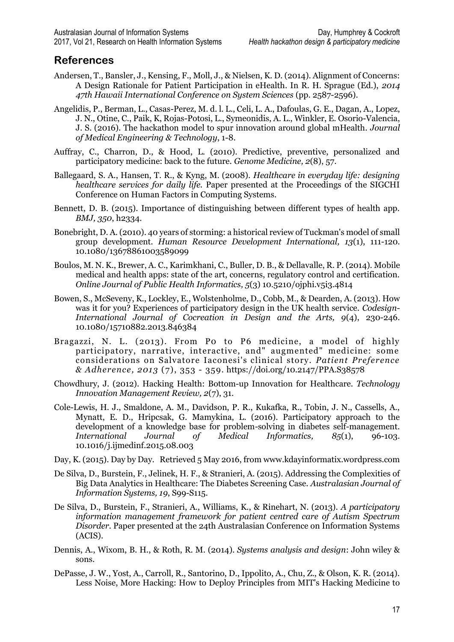## **References**

- Andersen, T., Bansler, J., Kensing, F., Moll, J., & Nielsen, K. D. (2014). Alignment of Concerns: A Design Rationale for Patient Participation in eHealth. In R. H. Sprague (Ed.), *2014 47th Hawaii International Conference on System Sciences* (pp. 2587-2596).
- Angelidis, P., Berman, L., Casas-Perez, M. d. l. L., Celi, L. A., Dafoulas, G. E., Dagan, A., Lopez, J. N., Otine, C., Paik, K, Rojas-Potosi, L., Symeonidis, A. L., Winkler, E. Osorio-Valencia, J. S. (2016). The hackathon model to spur innovation around global mHealth. *Journal of Medical Engineering & Technology*, 1-8.
- Auffray, C., Charron, D., & Hood, L. (2010). Predictive, preventive, personalized and participatory medicine: back to the future. *Genome Medicine, 2*(8), 57.
- Ballegaard, S. A., Hansen, T. R., & Kyng, M. (2008). *Healthcare in everyday life: designing healthcare services for daily life.* Paper presented at the Proceedings of the SIGCHI Conference on Human Factors in Computing Systems.
- Bennett, D. B. (2015). Importance of distinguishing between different types of health app. *BMJ, 350*, h2334.
- Bonebright, D. A. (2010). 40 years of storming: a historical review of Tuckman's model of small group development. *Human Resource Development International, 13*(1), 111-120. 10.1080/13678861003589099
- Boulos, M. N. K., Brewer, A. C., Karimkhani, C., Buller, D. B., & Dellavalle, R. P. (2014). Mobile medical and health apps: state of the art, concerns, regulatory control and certification. *Online Journal of Public Health Informatics, 5*(3) 10.5210/ojphi.v5i3.4814
- Bowen, S., McSeveny, K., Lockley, E., Wolstenholme, D., Cobb, M., & Dearden, A. (2013). How was it for you? Experiences of participatory design in the UK health service. *Codesign-International Journal of Cocreation in Design and the Arts, 9*(4), 230-246. 10.1080/15710882.2013.846384
- Bragazzi, N. L. (2013). From P0 to P6 medicine, a model of highly participatory, narrative, interactive, and" augmented" medicine: some considerations on Salvatore Iaconesi's clinical story. *Patient Preference & Adherence, 2013* (7), 353 - 359. https://doi.org/10.2147/PPA.S38578
- Chowdhury, J. (2012). Hacking Health: Bottom-up Innovation for Healthcare. *Technology Innovation Management Review, 2*(7), 31.
- Cole-Lewis, H. J., Smaldone, A. M., Davidson, P. R., Kukafka, R., Tobin, J. N., Cassells, A., Mynatt, E. D., Hripcsak, G. Mamykina, L. (2016). Participatory approach to the development of a knowledge base for problem-solving in diabetes self-management. *International Journal of Medical Informatics, 85*(1), 96-103. 10.1016/j.ijmedinf.2015.08.003
- Day, K. (2015). Day by Day. Retrieved 5 May 2016, from www.kdayinformatix.wordpress.com
- De Silva, D., Burstein, F., Jelinek, H. F., & Stranieri, A. (2015). Addressing the Complexities of Big Data Analytics in Healthcare: The Diabetes Screening Case. *Australasian Journal of Information Systems, 19*, S99-S115.
- De Silva, D., Burstein, F., Stranieri, A., Williams, K., & Rinehart, N. (2013). *A participatory information management framework for patient centred care of Autism Spectrum Disorder.* Paper presented at the 24th Australasian Conference on Information Systems (ACIS).
- Dennis, A., Wixom, B. H., & Roth, R. M. (2014). *Systems analysis and design*: John wiley & sons.
- DePasse, J. W., Yost, A., Carroll, R., Santorino, D., Ippolito, A., Chu, Z., & Olson, K. R. (2014). Less Noise, More Hacking: How to Deploy Principles from MIT's Hacking Medicine to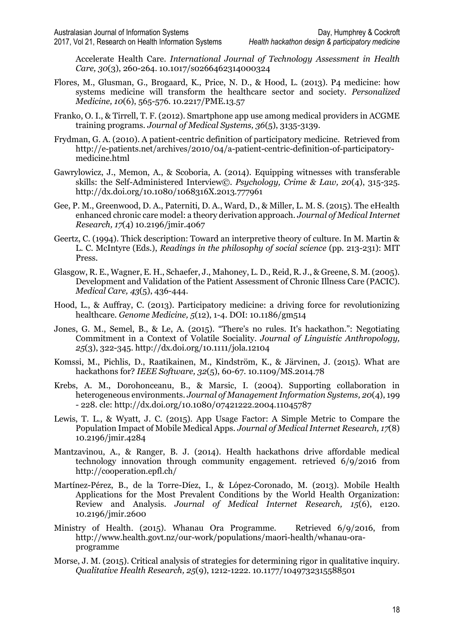Accelerate Health Care. *International Journal of Technology Assessment in Health Care, 30*(3), 260-264. 10.1017/s0266462314000324

- Flores, M., Glusman, G., Brogaard, K., Price, N. D., & Hood, L. (2013). P4 medicine: how systems medicine will transform the healthcare sector and society. *Personalized Medicine, 10*(6), 565-576. 10.2217/PME.13.57
- Franko, O. I., & Tirrell, T. F. (2012). Smartphone app use among medical providers in ACGME training programs. *Journal of Medical Systems, 36*(5), 3135-3139.
- Frydman, G. A. (2010). A patient-centric definition of participatory medicine. Retrieved from http://e-patients.net/archives/2010/04/a-patient-centric-definition-of-participatorymedicine.html
- Gawrylowicz, J., Memon, A., & Scoboria, A. (2014). Equipping witnesses with transferable skills: the Self-Administered Interview©. *Psychology, Crime & Law, 20*(4), 315-325. http://dx.doi.org/10.1080/1068316X.2013.777961
- Gee, P. M., Greenwood, D. A., Paterniti, D. A., Ward, D., & Miller, L. M. S. (2015). The eHealth enhanced chronic care model: a theory derivation approach. *Journal of Medical Internet Research, 17*(4) 10.2196/jmir.4067
- Geertz, C. (1994). Thick description: Toward an interpretive theory of culture. In M. Martin & L. C. McIntyre (Eds.), *Readings in the philosophy of social science* (pp. 213-231): MIT Press.
- Glasgow, R. E., Wagner, E. H., Schaefer, J., Mahoney, L. D., Reid, R. J., & Greene, S. M. (2005). Development and Validation of the Patient Assessment of Chronic Illness Care (PACIC). *Medical Care, 43*(5), 436-444.
- Hood, L., & Auffray, C. (2013). Participatory medicine: a driving force for revolutionizing healthcare. *Genome Medicine, 5*(12), 1-4. DOI: 10.1186/gm514
- Jones, G. M., Semel, B., & Le, A. (2015). "There's no rules. It's hackathon.": Negotiating Commitment in a Context of Volatile Sociality. *Journal of Linguistic Anthropology, 25*(3), 322-345. http://dx.doi.org/10.1111/jola.12104
- Komssi, M., Pichlis, D., Raatikainen, M., Kindström, K., & Järvinen, J. (2015). What are hackathons for? *IEEE Software, 32*(5), 60-67. 10.1109/MS.2014.78
- Krebs, A. M., Dorohonceanu, B., & Marsic, I. (2004). Supporting collaboration in heterogeneous environments. *Journal of Management Information Systems, 20*(4), 199 - 228. cle: http://dx.doi.org/10.1080/07421222.2004.11045787
- Lewis, T. L., & Wyatt, J. C. (2015). App Usage Factor: A Simple Metric to Compare the Population Impact of Mobile Medical Apps. *Journal of Medical Internet Research, 17*(8) 10.2196/jmir.4284
- Mantzavinou, A., & Ranger, B. J. (2014). Health hackathons drive affordable medical technology innovation through community engagement. retrieved 6/9/2016 from http://cooperation.epfl.ch/
- Martínez-Pérez, B., de la Torre-Díez, I., & López-Coronado, M. (2013). Mobile Health Applications for the Most Prevalent Conditions by the World Health Organization: Review and Analysis. *Journal of Medical Internet Research, 15*(6), e120. 10.2196/jmir.2600
- Ministry of Health. (2015). Whanau Ora Programme. Retrieved 6/9/2016, from http://www.health.govt.nz/our-work/populations/maori-health/whanau-oraprogramme
- Morse, J. M. (2015). Critical analysis of strategies for determining rigor in qualitative inquiry. *Qualitative Health Research, 25*(9), 1212-1222. 10.1177/1049732315588501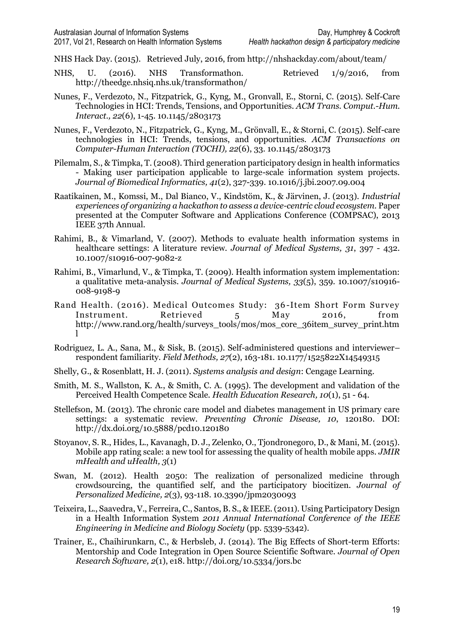NHS Hack Day. (2015). Retrieved July, 2016, from http://nhshackday.com/about/team/

- NHS, U. (2016). NHS Transformathon. Retrieved 1/9/2016, from http://theedge.nhsiq.nhs.uk/transformathon/
- Nunes, F., Verdezoto, N., Fitzpatrick, G., Kyng, M., Gronvall, E., Storni, C. (2015). Self-Care Technologies in HCI: Trends, Tensions, and Opportunities. *ACM Trans. Comput.-Hum. Interact., 22*(6), 1-45. 10.1145/2803173
- Nunes, F., Verdezoto, N., Fitzpatrick, G., Kyng, M., Grönvall, E., & Storni, C. (2015). Self-care technologies in HCI: Trends, tensions, and opportunities. *ACM Transactions on Computer-Human Interaction (TOCHI), 22*(6), 33. 10.1145/2803173
- Pilemalm, S., & Timpka, T. (2008). Third generation participatory design in health informatics - Making user participation applicable to large-scale information system projects. *Journal of Biomedical Informatics, 41*(2), 327-339. 10.1016/j.jbi.2007.09.004
- Raatikainen, M., Komssi, M., Dal Bianco, V., Kindstöm, K., & Järvinen, J. (2013). *Industrial experiences of organizing a hackathon to assess a device-centric cloud ecosystem.* Paper presented at the Computer Software and Applications Conference (COMPSAC), 2013 IEEE 37th Annual.
- Rahimi, B., & Vimarland, V. (2007). Methods to evaluate health information systems in healthcare settings: A literature review. *Journal of Medical Systems, 31*, 397 - 432. 10.1007/s10916-007-9082-z
- Rahimi, B., Vimarlund, V., & Timpka, T. (2009). Health information system implementation: a qualitative meta-analysis. *Journal of Medical Systems, 33*(5), 359. 10.1007/s10916- 008-9198-9
- Rand Health. (2016). Medical Outcomes Study: 36 -Item Short Form Survey Instrument. Retrieved 5 May 2016, from http://www.rand.org/health/surveys\_tools/mos/mos\_core\_36item\_survey\_print.htm l
- Rodriguez, L. A., Sana, M., & Sisk, B. (2015). Self-administered questions and interviewer– respondent familiarity. *Field Methods, 27*(2), 163-181. 10.1177/1525822X14549315
- Shelly, G., & Rosenblatt, H. J. (2011). *Systems analysis and design*: Cengage Learning.
- Smith, M. S., Wallston, K. A., & Smith, C. A. (1995). The development and validation of the Perceived Health Competence Scale. *Health Education Research, 10*(1), 51 - 64.
- Stellefson, M. (2013). The chronic care model and diabetes management in US primary care settings: a systematic review. *Preventing Chronic Disease, 10*, 120180. DOI: http://dx.doi.org/10.5888/pcd10.120180
- Stoyanov, S. R., Hides, L., Kavanagh, D. J., Zelenko, O., Tjondronegoro, D., & Mani, M. (2015). Mobile app rating scale: a new tool for assessing the quality of health mobile apps. *JMIR mHealth and uHealth, 3*(1)
- Swan, M. (2012). Health 2050: The realization of personalized medicine through crowdsourcing, the quantified self, and the participatory biocitizen. *Journal of Personalized Medicine, 2*(3), 93-118. 10.3390/jpm2030093
- Teixeira, L., Saavedra, V., Ferreira, C., Santos, B. S., & IEEE. (2011). Using Participatory Design in a Health Information System *2011 Annual International Conference of the IEEE Engineering in Medicine and Biology Society* (pp. 5339-5342).
- Trainer, E., Chaihirunkarn, C., & Herbsleb, J. (2014). The Big Effects of Short-term Efforts: Mentorship and Code Integration in Open Source Scientific Software. *Journal of Open Research Software, 2*(1), e18. http://doi.org/10.5334/jors.bc